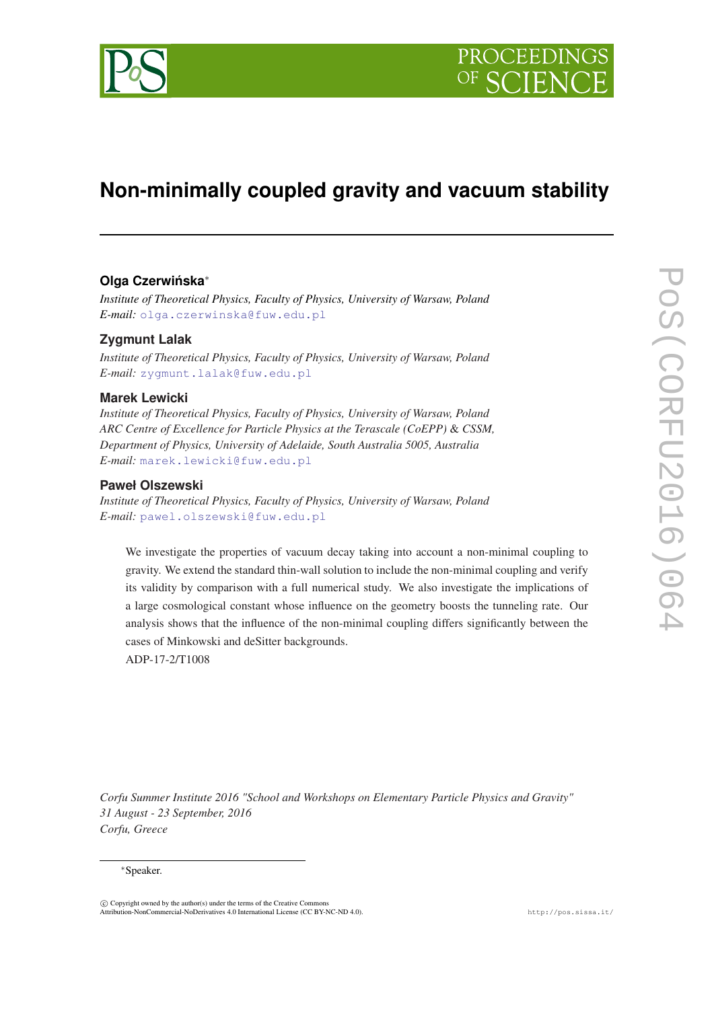

# **Non-minimally coupled gravity and vacuum stability**

# **Olga Czerwinska ´** ∗

*Institute of Theoretical Physics, Faculty of Physics, University of Warsaw, Poland E-mail:* [olga.czerwinska@fuw.edu.pl](mailto:olga.czerwinska@fuw.edu.pl)

## **Zygmunt Lalak**

*Institute of Theoretical Physics, Faculty of Physics, University of Warsaw, Poland E-mail:* [zygmunt.lalak@fuw.edu.pl](mailto:zygmunt.lalak@fuw.edu.pl)

## **Marek Lewicki**

*Institute of Theoretical Physics, Faculty of Physics, University of Warsaw, Poland ARC Centre of Excellence for Particle Physics at the Terascale (CoEPP)* & *CSSM, Department of Physics, University of Adelaide, South Australia 5005, Australia E-mail:* [marek.lewicki@fuw.edu.pl](mailto:marek.lewicki@fuw.edu.pl)

## **Paweł Olszewski**

*Institute of Theoretical Physics, Faculty of Physics, University of Warsaw, Poland E-mail:* [pawel.olszewski@fuw.edu.pl](mailto:pawel.olszewski@fuw.edu.pl)

We investigate the properties of vacuum decay taking into account a non-minimal coupling to gravity. We extend the standard thin-wall solution to include the non-minimal coupling and verify its validity by comparison with a full numerical study. We also investigate the implications of a large cosmological constant whose influence on the geometry boosts the tunneling rate. Our analysis shows that the influence of the non-minimal coupling differs significantly between the cases of Minkowski and deSitter backgrounds.

ADP-17-2/T1008

*Corfu Summer Institute 2016 "School and Workshops on Elementary Particle Physics and Gravity" 31 August - 23 September, 2016 Corfu, Greece*

#### <sup>∗</sup>Speaker.

 $\overline{c}$  Copyright owned by the author(s) under the terms of the Creative Commons Attribution-NonCommercial-NoDerivatives 4.0 International License (CC BY-NC-ND 4.0). http://pos.sissa.it/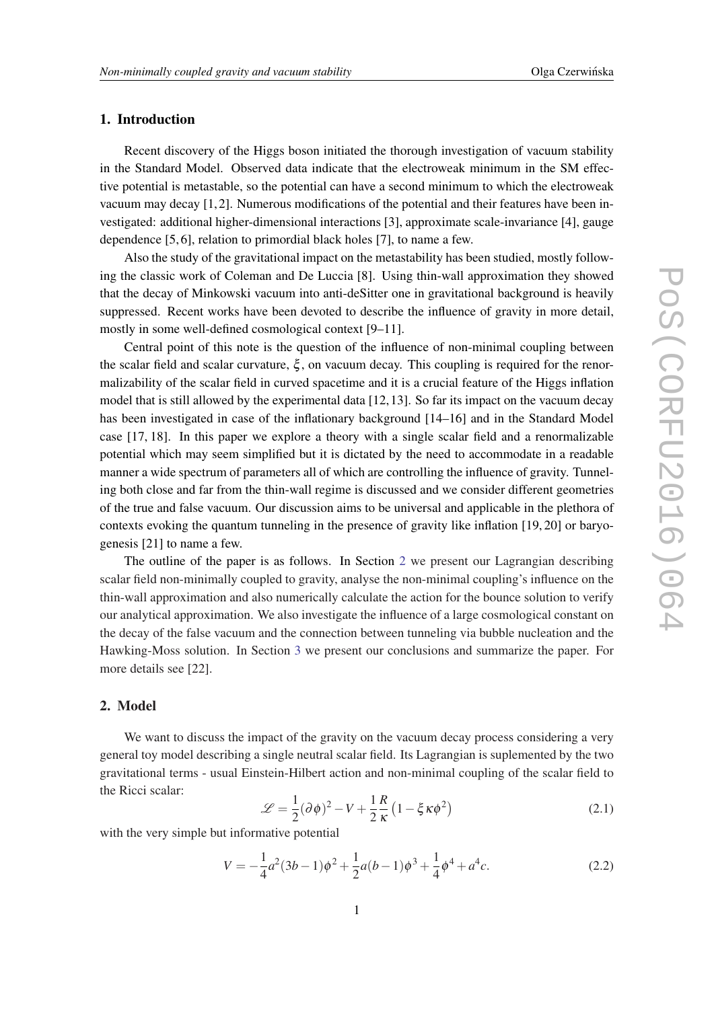## <span id="page-1-0"></span>1. Introduction

Recent discovery of the Higgs boson initiated the thorough investigation of vacuum stability in the Standard Model. Observed data indicate that the electroweak minimum in the SM effective potential is metastable, so the potential can have a second minimum to which the electroweak vacuum may decay  $[1, 2]$ . Numerous modifications of the potential and their features have been investigated: additional higher-dimensional interactions [3], approximate scale-invariance [4], gauge dependence [5, 6], relation to primordial black holes [7], to name a few.

Also the study of the gravitational impact on the metastability has been studied, mostly following the classic work of Coleman and De Luccia [8]. Using thin-wall approximation they showed that the decay of Minkowski vacuum into anti-deSitter one in gravitational background is heavily suppressed. Recent works have been devoted to describe the influence of gravity in more detail, mostly in some well-defined cosmological context [9–11].

Central point of this note is the question of the influence of non-minimal coupling between the scalar field and scalar curvature,  $\xi$ , on vacuum decay. This coupling is required for the renormalizability of the scalar field in curved spacetime and it is a crucial feature of the Higgs inflation model that is still allowed by the experimental data [12, 13]. So far its impact on the vacuum decay has been investigated in case of the inflationary background [14–16] and in the Standard Model case [17, 18]. In this paper we explore a theory with a single scalar field and a renormalizable potential which may seem simplified but it is dictated by the need to accommodate in a readable manner a wide spectrum of parameters all of which are controlling the influence of gravity. Tunneling both close and far from the thin-wall regime is discussed and we consider different geometries of the true and false vacuum. Our discussion aims to be universal and applicable in the plethora of contexts evoking the quantum tunneling in the presence of gravity like inflation [19, 20] or baryogenesis [21] to name a few.

The outline of the paper is as follows. In Section 2 we present our Lagrangian describing scalar field non-minimally coupled to gravity, analyse the non-minimal coupling's influence on the thin-wall approximation and also numerically calculate the action for the bounce solution to verify our analytical approximation. We also investigate the influence of a large cosmological constant on the decay of the false vacuum and the connection between tunneling via bubble nucleation and the Hawking-Moss solution. In Section [3](#page-8-0) we present our conclusions and summarize the paper. For more details see [22].

## 2. Model

We want to discuss the impact of the gravity on the vacuum decay process considering a very general toy model describing a single neutral scalar field. Its Lagrangian is suplemented by the two gravitational terms - usual Einstein-Hilbert action and non-minimal coupling of the scalar field to the Ricci scalar:

$$
\mathcal{L} = \frac{1}{2} (\partial \phi)^2 - V + \frac{1}{2} \frac{R}{\kappa} \left( 1 - \xi \kappa \phi^2 \right)
$$
 (2.1)

with the very simple but informative potential

$$
V = -\frac{1}{4}a^2(3b - 1)\phi^2 + \frac{1}{2}a(b - 1)\phi^3 + \frac{1}{4}\phi^4 + a^4c.
$$
 (2.2)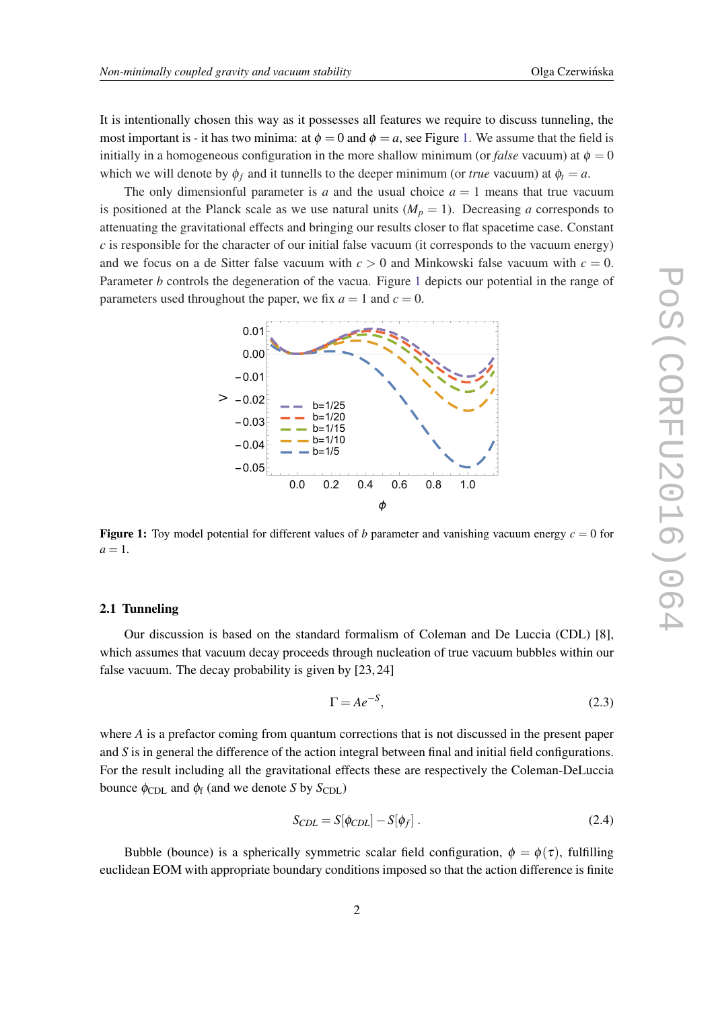<span id="page-2-0"></span>It is intentionally chosen this way as it possesses all features we require to discuss tunneling, the most important is - it has two minima: at  $\phi = 0$  and  $\phi = a$ , see Figure 1. We assume that the field is initially in a homogeneous configuration in the more shallow minimum (or *false* vacuum) at  $\phi = 0$ which we will denote by  $\phi_f$  and it tunnells to the deeper minimum (or *true* vacuum) at  $\phi_t = a$ .

The only dimensionful parameter is *a* and the usual choice  $a = 1$  means that true vacuum is positioned at the Planck scale as we use natural units  $(M_p = 1)$ . Decreasing *a* corresponds to attenuating the gravitational effects and bringing our results closer to flat spacetime case. Constant *c* is responsible for the character of our initial false vacuum (it corresponds to the vacuum energy) and we focus on a de Sitter false vacuum with  $c > 0$  and Minkowski false vacuum with  $c = 0$ . Parameter *b* controls the degeneration of the vacua. Figure 1 depicts our potential in the range of parameters used throughout the paper, we fix  $a = 1$  and  $c = 0$ .



**Figure 1:** Toy model potential for different values of *b* parameter and vanishing vacuum energy  $c = 0$  for  $a=1$ .

#### 2.1 Tunneling

Our discussion is based on the standard formalism of Coleman and De Luccia (CDL) [8], which assumes that vacuum decay proceeds through nucleation of true vacuum bubbles within our false vacuum. The decay probability is given by [23, 24]

$$
\Gamma = Ae^{-S},\tag{2.3}
$$

where *A* is a prefactor coming from quantum corrections that is not discussed in the present paper and *S* is in general the difference of the action integral between final and initial field configurations. For the result including all the gravitational effects these are respectively the Coleman-DeLuccia bounce  $\phi_{\text{CDL}}$  and  $\phi_f$  (and we denote *S* by *S*<sub>CDL</sub>)

$$
S_{CDL} = S[\phi_{CDL}] - S[\phi_f]. \qquad (2.4)
$$

Bubble (bounce) is a spherically symmetric scalar field configuration,  $\phi = \phi(\tau)$ , fulfilling euclidean EOM with appropriate boundary conditions imposed so that the action difference is finite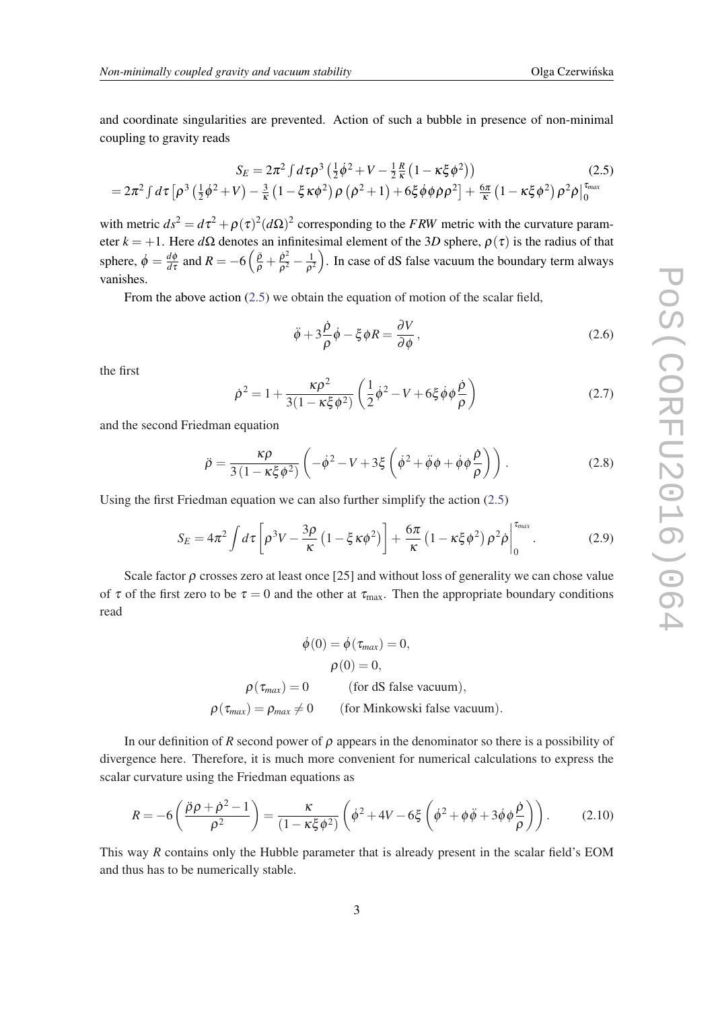<span id="page-3-0"></span>and coordinate singularities are prevented. Action of such a bubble in presence of non-minimal coupling to gravity reads

$$
S_E = 2\pi^2 \int d\tau \rho^3 \left(\frac{1}{2}\dot{\phi}^2 + V - \frac{1}{2}\frac{R}{\kappa}\left(1 - \kappa\xi\phi^2\right)\right)
$$
(2.5)  
=  $2\pi^2 \int d\tau \left[\rho^3 \left(\frac{1}{2}\dot{\phi}^2 + V\right) - \frac{3}{\kappa}\left(1 - \xi\kappa\phi^2\right)\rho\left(\dot{\rho}^2 + 1\right) + 6\xi\dot{\phi}\phi\dot{\rho}\rho^2\right] + \frac{6\pi}{\kappa}\left(1 - \kappa\xi\phi^2\right)\rho^2\dot{\rho}\Big|_0^{\tau_{max}}$ 

with metric  $ds^2 = d\tau^2 + \rho(\tau)^2 (d\Omega)^2$  corresponding to the *FRW* metric with the curvature parameter  $k = +1$ . Here  $d\Omega$  denotes an infinitesimal element of the 3*D* sphere,  $\rho(\tau)$  is the radius of that sphere,  $\dot{\phi} = \frac{d\phi}{d\tau}$  $\frac{d\phi}{d\tau}$  and  $R = -6\left(\frac{\ddot{\rho}}{\rho} + \frac{\dot{\rho}^2}{\rho^2}\right)$  $\frac{\dot{\rho}^2}{\rho^2} - \frac{1}{\rho^2}$  $\frac{1}{\rho^2}$ ). In case of dS false vacuum the boundary term always vanishes.

From the above action (2.5) we obtain the equation of motion of the scalar field,

$$
\ddot{\phi} + 3\frac{\dot{\rho}}{\rho}\dot{\phi} - \xi\phi R = \frac{\partial V}{\partial \phi},
$$
\n(2.6)

the first

$$
\dot{\rho}^2 = 1 + \frac{\kappa \rho^2}{3(1 - \kappa \xi \phi^2)} \left( \frac{1}{2} \dot{\phi}^2 - V + 6 \xi \dot{\phi} \phi \frac{\dot{\rho}}{\rho} \right)
$$
(2.7)

and the second Friedman equation

$$
\ddot{\rho} = \frac{\kappa \rho}{3(1 - \kappa \xi \phi^2)} \left( -\dot{\phi}^2 - V + 3\xi \left( \dot{\phi}^2 + \ddot{\phi} \phi + \dot{\phi} \phi \frac{\dot{\rho}}{\rho} \right) \right). \tag{2.8}
$$

Using the first Friedman equation we can also further simplify the action (2.5)

$$
S_E = 4\pi^2 \int d\tau \left[ \rho^3 V - \frac{3\rho}{\kappa} \left( 1 - \xi \kappa \phi^2 \right) \right] + \frac{6\pi}{\kappa} \left( 1 - \kappa \xi \phi^2 \right) \rho^2 \dot{\rho} \Big|_0^{\tau_{max}}.
$$
 (2.9)

Scale factor  $\rho$  crosses zero at least once [25] and without loss of generality we can chose value of  $\tau$  of the first zero to be  $\tau = 0$  and the other at  $\tau_{\text{max}}$ . Then the appropriate boundary conditions read

$$
\dot{\phi}(0) = \dot{\phi}(\tau_{max}) = 0,
$$
  
\n
$$
\rho(0) = 0,
$$
  
\n
$$
\rho(\tau_{max}) = 0
$$
 (for dS false vacuum),  
\n
$$
\rho(\tau_{max}) = \rho_{max} \neq 0
$$
 (for Minkowski false vacuum).

In our definition of *R* second power of  $\rho$  appears in the denominator so there is a possibility of divergence here. Therefore, it is much more convenient for numerical calculations to express the scalar curvature using the Friedman equations as

$$
R = -6\left(\frac{\ddot{\rho}\rho + \dot{\rho}^2 - 1}{\rho^2}\right) = \frac{\kappa}{(1 - \kappa\xi\phi^2)}\left(\dot{\phi}^2 + 4V - 6\xi\left(\dot{\phi}^2 + \phi\ddot{\phi} + 3\dot{\phi}\phi\frac{\dot{\rho}}{\rho}\right)\right). \tag{2.10}
$$

This way *R* contains only the Hubble parameter that is already present in the scalar field's EOM and thus has to be numerically stable.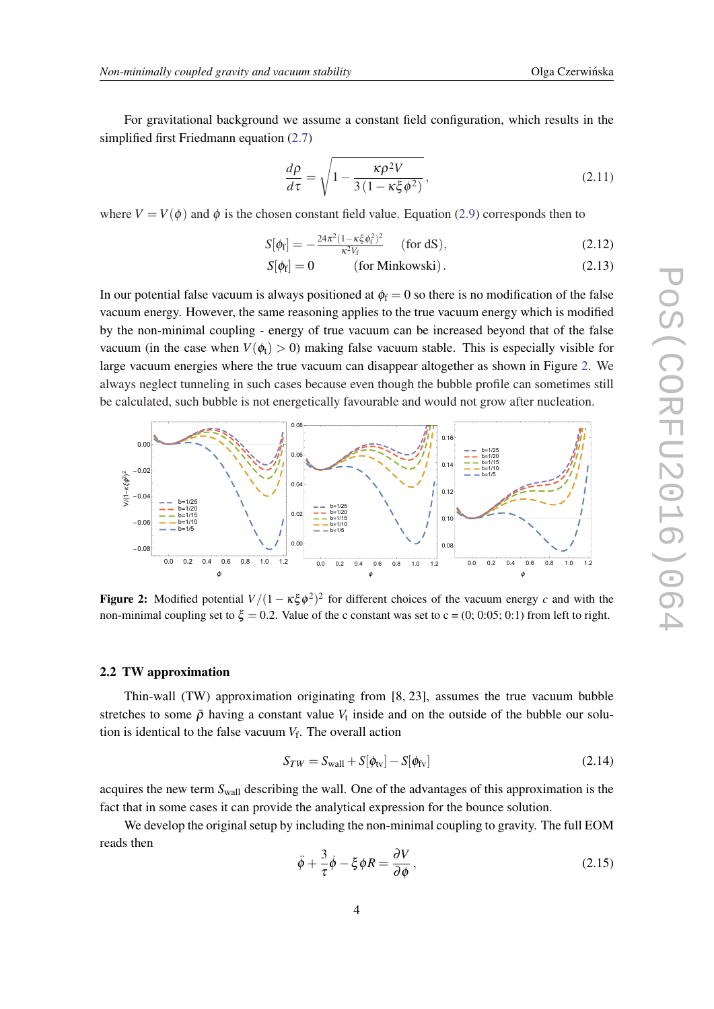<span id="page-4-0"></span>For gravitational background we assume a constant field configuration, which results in the simplified first Friedmann equation [\(2.7\)](#page-3-0)

$$
\frac{d\rho}{d\tau} = \sqrt{1 - \frac{\kappa \rho^2 V}{3(1 - \kappa \xi \phi^2)}},\tag{2.11}
$$

where  $V = V(\phi)$  and  $\phi$  is the chosen constant field value. Equation ([2.9](#page-3-0)) corresponds then to

$$
S[\phi_{\rm f}] = -\frac{24\pi^2 (1 - \kappa \xi \phi_{\rm f}^2)^2}{\kappa^2 V_{\rm f}} \quad \text{(for dS)},\tag{2.12}
$$

$$
S[\phi_f] = 0 \qquad \text{(for Minkowski)}.
$$
 (2.13)

In our potential false vacuum is always positioned at  $\phi_f = 0$  so there is no modification of the false vacuum energy. However, the same reasoning applies to the true vacuum energy which is modified by the non-minimal coupling - energy of true vacuum can be increased beyond that of the false vacuum (in the case when  $V(\phi_t) > 0$ ) making false vacuum stable. This is especially visible for large vacuum energies where the true vacuum can disappear altogether as shown in Figure 2. We always neglect tunneling in such cases because even though the bubble profile can sometimes still be calculated, such bubble is not energetically favourable and would not grow after nucleation.



**Figure 2:** Modified potential  $V/(1 - \kappa \xi \phi^2)^2$  for different choices of the vacuum energy *c* and with the non-minimal coupling set to  $\xi = 0.2$ . Value of the c constant was set to c = (0; 0:05; 0:1) from left to right.

#### 2.2 TW approximation

Thin-wall (TW) approximation originating from [8, 23], assumes the true vacuum bubble stretches to some  $\bar{\rho}$  having a constant value  $V_t$  inside and on the outside of the bubble our solution is identical to the false vacuum  $V_f$ . The overall action

$$
S_{TW} = S_{\text{wall}} + S[\phi_{\text{tv}}] - S[\phi_{\text{fv}}]
$$
\n(2.14)

acquires the new term *S*wall describing the wall. One of the advantages of this approximation is the fact that in some cases it can provide the analytical expression for the bounce solution.

We develop the original setup by including the non-minimal coupling to gravity. The full EOM reads then

$$
\ddot{\phi} + \frac{3}{\tau} \dot{\phi} - \xi \phi R = \frac{\partial V}{\partial \phi},
$$
\n(2.15)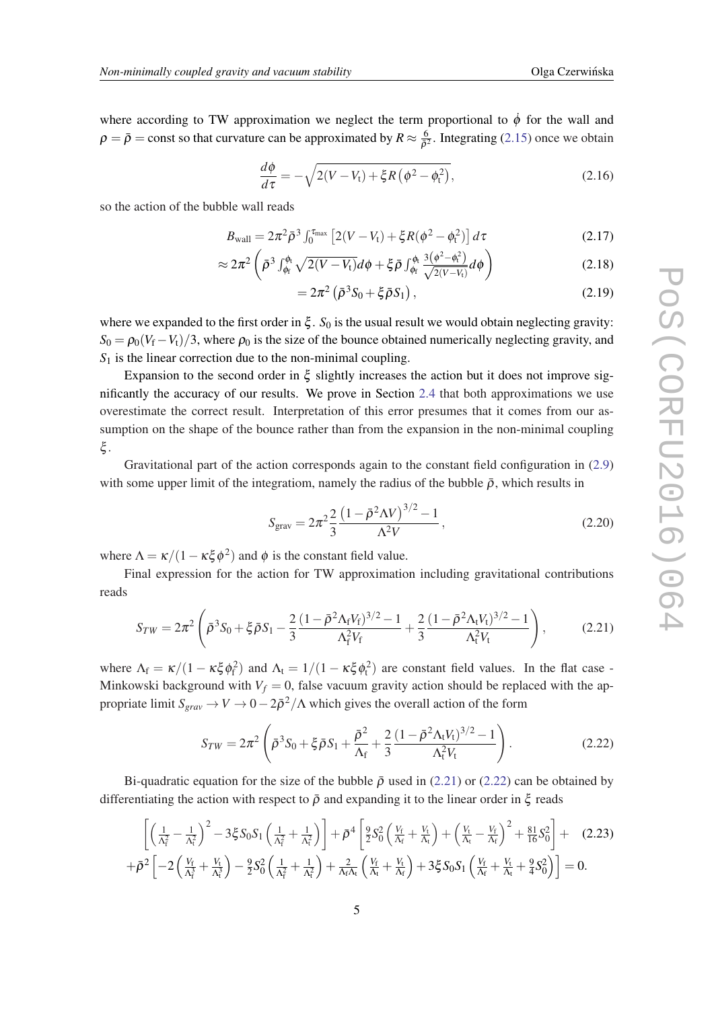<span id="page-5-0"></span>where according to TW approximation we neglect the term proportional to  $\dot{\phi}$  for the wall and  $\rho = \bar{\rho} = \text{const}$  so that curvature can be approximated by  $R \approx \frac{6}{\delta^2}$  $\frac{6}{\bar{\rho}^2}$ . Integrating ([2.15\)](#page-4-0) once we obtain

$$
\frac{d\phi}{d\tau} = -\sqrt{2(V - V_t) + \xi R \left(\phi^2 - \phi_t^2\right)},\tag{2.16}
$$

so the action of the bubble wall reads

$$
B_{\text{wall}} = 2\pi^2 \bar{\rho}^3 \int_0^{\tau_{\text{max}}} \left[ 2(V - V_t) + \xi R(\phi^2 - \phi_t^2) \right] d\tau \tag{2.17}
$$

$$
\approx 2\pi^2 \left( \bar{\rho}^3 \int_{\phi_f}^{\phi_t} \sqrt{2(V-V_t)} d\phi + \xi \bar{\rho} \int_{\phi_f}^{\phi_t} \frac{3(\phi^2 - \phi_t^2)}{\sqrt{2(V-V_t)}} d\phi \right) \tag{2.18}
$$

$$
=2\pi^2\left(\bar{\rho}^3S_0+\xi\bar{\rho}S_1\right),\qquad(2.19)
$$

where we expanded to the first order in  $\xi$ .  $S_0$  is the usual result we would obtain neglecting gravity:  $S_0 = \rho_0 (V_f - V_f)/3$ , where  $\rho_0$  is the size of the bounce obtained numerically neglecting gravity, and  $S_1$  is the linear correction due to the non-minimal coupling.

Expansion to the second order in  $\xi$  slightly increases the action but it does not improve significantly the accuracy of our results. We prove in Section [2.4](#page-6-0) that both approximations we use overestimate the correct result. Interpretation of this error presumes that it comes from our assumption on the shape of the bounce rather than from the expansion in the non-minimal coupling ξ .

Gravitational part of the action corresponds again to the constant field configuration in ([2.9](#page-3-0)) with some upper limit of the integratiom, namely the radius of the bubble  $\bar{\rho}$ , which results in

$$
S_{\text{grav}} = 2\pi^2 \frac{2}{3} \frac{\left(1 - \bar{\rho}^2 \Lambda V\right)^{3/2} - 1}{\Lambda^2 V},\tag{2.20}
$$

where  $\Lambda = \kappa/(1 - \kappa \xi \phi^2)$  and  $\phi$  is the constant field value.

Final expression for the action for TW approximation including gravitational contributions reads

$$
S_{TW} = 2\pi^2 \left( \bar{\rho}^3 S_0 + \xi \bar{\rho} S_1 - \frac{2}{3} \frac{(1 - \bar{\rho}^2 \Lambda_f V_f)^{3/2} - 1}{\Lambda_f^2 V_f} + \frac{2}{3} \frac{(1 - \bar{\rho}^2 \Lambda_f V_f)^{3/2} - 1}{\Lambda_f^2 V_t} \right),
$$
(2.21)

where  $\Lambda_f = \kappa/(1 - \kappa \xi \phi_f^2)$  and  $\Lambda_t = 1/(1 - \kappa \xi \phi_t^2)$  are constant field values. In the flat case -Minkowski background with  $V_f = 0$ , false vacuum gravity action should be replaced with the appropriate limit  $S_{grav} \to V \to 0-2\bar{\rho}^2/\Lambda$  which gives the overall action of the form

$$
S_{TW} = 2\pi^2 \left( \bar{\rho}^3 S_0 + \xi \bar{\rho} S_1 + \frac{\bar{\rho}^2}{\Lambda_f} + \frac{2}{3} \frac{(1 - \bar{\rho}^2 \Lambda_t V_t)^{3/2} - 1}{\Lambda_t^2 V_t} \right).
$$
 (2.22)

Bi-quadratic equation for the size of the bubble  $\bar{\rho}$  used in (2.21) or (2.22) can be obtained by differentiating the action with respect to  $\bar{\rho}$  and expanding it to the linear order in  $\zeta$  reads

$$
\begin{aligned}\n&\left[\left(\frac{1}{\Lambda_{f}^{2}}-\frac{1}{\Lambda_{t}^{2}}\right)^{2}-3\xi S_{0}S_{1}\left(\frac{1}{\Lambda_{f}^{2}}+\frac{1}{\Lambda_{t}^{2}}\right)\right]+\bar{\rho}^{4}\left[\frac{9}{2}S_{0}^{2}\left(\frac{V_{f}}{\Lambda_{f}}+\frac{V_{t}}{\Lambda_{t}}\right)+\left(\frac{V_{t}}{\Lambda_{t}}-\frac{V_{f}}{\Lambda_{f}}\right)^{2}+\frac{81}{16}S_{0}^{2}\right]+ (2.23)\\
&+\bar{\rho}^{2}\left[-2\left(\frac{V_{f}}{\Lambda_{f}^{3}}+\frac{V_{t}}{\Lambda_{t}^{3}}\right)-\frac{9}{2}S_{0}^{2}\left(\frac{1}{\Lambda_{f}^{2}}+\frac{1}{\Lambda_{t}^{2}}\right)+\frac{2}{\Lambda_{f}\Lambda_{t}}\left(\frac{V_{f}}{\Lambda_{t}}+\frac{V_{t}}{\Lambda_{f}}\right)+3\xi S_{0}S_{1}\left(\frac{V_{f}}{\Lambda_{f}}+\frac{V_{t}}{\Lambda_{t}}+\frac{9}{4}S_{0}^{2}\right)\right]=0.\n\end{aligned}
$$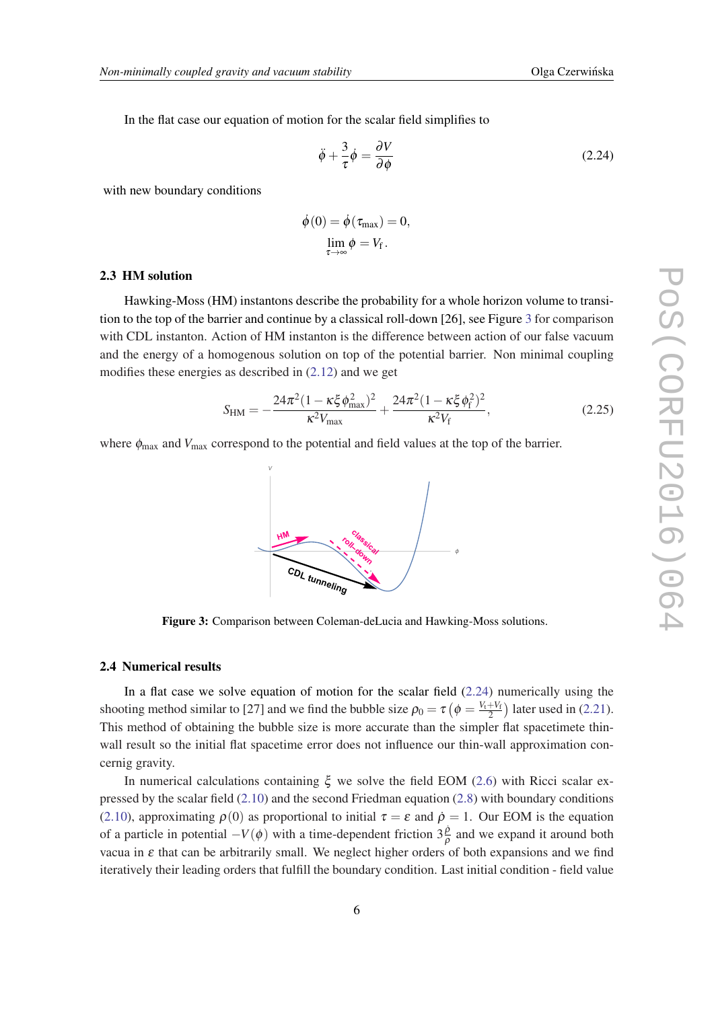<span id="page-6-0"></span>In the flat case our equation of motion for the scalar field simplifies to

$$
\ddot{\phi} + \frac{3}{\tau} \dot{\phi} = \frac{\partial V}{\partial \phi} \tag{2.24}
$$

with new boundary conditions

$$
\dot{\phi}(0) = \dot{\phi}(\tau_{\text{max}}) = 0,
$$
  

$$
\lim_{\tau \to \infty} \phi = V_f.
$$

#### 2.3 HM solution

Hawking-Moss (HM) instantons describe the probability for a whole horizon volume to transition to the top of the barrier and continue by a classical roll-down [26], see Figure 3 for comparison with CDL instanton. Action of HM instanton is the difference between action of our false vacuum and the energy of a homogenous solution on top of the potential barrier. Non minimal coupling modifies these energies as described in ([2.12\)](#page-4-0) and we get

$$
S_{\rm HM} = -\frac{24\pi^2 (1 - \kappa \xi \phi_{\rm max}^2)^2}{\kappa^2 V_{\rm max}} + \frac{24\pi^2 (1 - \kappa \xi \phi_{\rm f}^2)^2}{\kappa^2 V_{\rm f}},\tag{2.25}
$$

where  $\phi_{\text{max}}$  and  $V_{\text{max}}$  correspond to the potential and field values at the top of the barrier.

**HM**

V

classical  **roll-down CDL tunneling** ϕ

Figure 3: Comparison between Coleman-deLucia and Hawking-Moss solutions.

#### 2.4 Numerical results

In a flat case we solve equation of motion for the scalar field  $(2.24)$  numerically using the shooting method similar to [27] and we find the bubble size  $\rho_0 = \tau \left( \phi = \frac{V_t + V_f}{2} \right)$  later used in [\(2.21\)](#page-5-0). This method of obtaining the bubble size is more accurate than the simpler flat spacetimete thinwall result so the initial flat spacetime error does not influence our thin-wall approximation concernig gravity.

In numerical calculations containing  $ξ$  we solve the field EOM [\(2.6\)](#page-3-0) with Ricci scalar expressed by the scalar field [\(2.10](#page-3-0)) and the second Friedman equation [\(2.8\)](#page-3-0) with boundary conditions ([2.10](#page-3-0)), approximating  $\rho(0)$  as proportional to initial  $\tau = \varepsilon$  and  $\dot{\rho} = 1$ . Our EOM is the equation of a particle in potential  $-V(\phi)$  with a time-dependent friction  $3\frac{\dot{\rho}}{\rho}$  and we expand it around both vacua in ε that can be arbitrarily small. We neglect higher orders of both expansions and we find iteratively their leading orders that fulfill the boundary condition. Last initial condition - field value

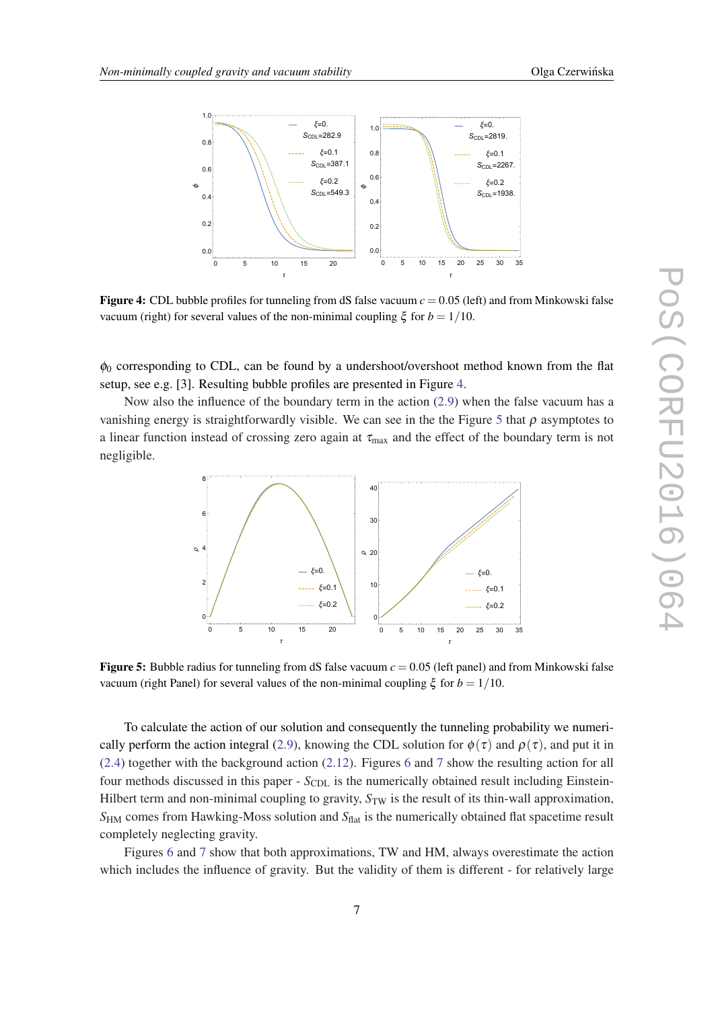

**Figure 4:** CDL bubble profiles for tunneling from dS false vacuum  $c = 0.05$  (left) and from Minkowski false vacuum (right) for several values of the non-minimal coupling ξ for *b* = 1/10.

 $\phi_0$  corresponding to CDL, can be found by a undershoot/overshoot method known from the flat setup, see e.g. [3]. Resulting bubble profiles are presented in Figure 4.

Now also the influence of the boundary term in the action [\(2.9\)](#page-3-0) when the false vacuum has a vanishing energy is straightforwardly visible. We can see in the the Figure 5 that  $\rho$  asymptotes to a linear function instead of crossing zero again at  $\tau_{\text{max}}$  and the effect of the boundary term is not negligible.



**Figure 5:** Bubble radius for tunneling from dS false vacuum  $c = 0.05$  (left panel) and from Minkowski false vacuum (right Panel) for several values of the non-minimal coupling ξ for *b* = 1/10.

To calculate the action of our solution and consequently the tunneling probability we numeri-cally perform the action integral [\(2.9\)](#page-3-0), knowing the CDL solution for  $\phi(\tau)$  and  $\rho(\tau)$ , and put it in ([2.4\)](#page-2-0) together with the background action [\(2.12](#page-4-0)). Figures [6](#page-8-0) and [7](#page-9-0) show the resulting action for all four methods discussed in this paper - *S*<sub>CDL</sub> is the numerically obtained result including Einstein-Hilbert term and non-minimal coupling to gravity,  $S_{TW}$  is the result of its thin-wall approximation, *S*<sub>HM</sub> comes from Hawking-Moss solution and *S*<sub>flat</sub> is the numerically obtained flat spacetime result completely neglecting gravity.

Figures [6](#page-8-0) and [7](#page-9-0) show that both approximations, TW and HM, always overestimate the action which includes the influence of gravity. But the validity of them is different - for relatively large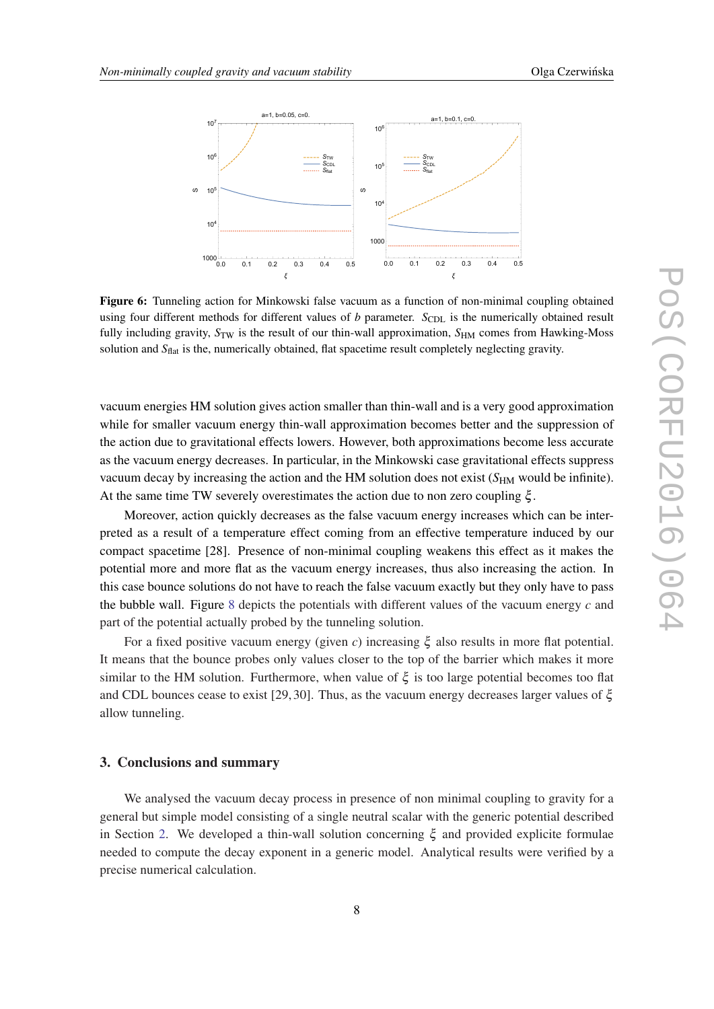<span id="page-8-0"></span>

Figure 6: Tunneling action for Minkowski false vacuum as a function of non-minimal coupling obtained using four different methods for different values of *b* parameter. S<sub>CDL</sub> is the numerically obtained result fully including gravity,  $S_{TW}$  is the result of our thin-wall approximation,  $S_{HM}$  comes from Hawking-Moss solution and *S*<sub>flat</sub> is the, numerically obtained, flat spacetime result completely neglecting gravity.

vacuum energies HM solution gives action smaller than thin-wall and is a very good approximation while for smaller vacuum energy thin-wall approximation becomes better and the suppression of the action due to gravitational effects lowers. However, both approximations become less accurate as the vacuum energy decreases. In particular, in the Minkowski case gravitational effects suppress vacuum decay by increasing the action and the HM solution does not exist (*S*<sub>HM</sub> would be infinite). At the same time TW severely overestimates the action due to non zero coupling  $\xi$ .

Moreover, action quickly decreases as the false vacuum energy increases which can be interpreted as a result of a temperature effect coming from an effective temperature induced by our compact spacetime [28]. Presence of non-minimal coupling weakens this effect as it makes the potential more and more flat as the vacuum energy increases, thus also increasing the action. In this case bounce solutions do not have to reach the false vacuum exactly but they only have to pass the bubble wall. Figure [8](#page-9-0) depicts the potentials with different values of the vacuum energy *c* and part of the potential actually probed by the tunneling solution.

For a fixed positive vacuum energy (given *c*) increasing ξ also results in more flat potential. It means that the bounce probes only values closer to the top of the barrier which makes it more similar to the HM solution. Furthermore, when value of  $\xi$  is too large potential becomes too flat and CDL bounces cease to exist [29, 30]. Thus, as the vacuum energy decreases larger values of  $\xi$ allow tunneling.

#### 3. Conclusions and summary

We analysed the vacuum decay process in presence of non minimal coupling to gravity for a general but simple model consisting of a single neutral scalar with the generic potential described in Section [2.](#page-1-0) We developed a thin-wall solution concerning  $\xi$  and provided explicite formulae needed to compute the decay exponent in a generic model. Analytical results were verified by a precise numerical calculation.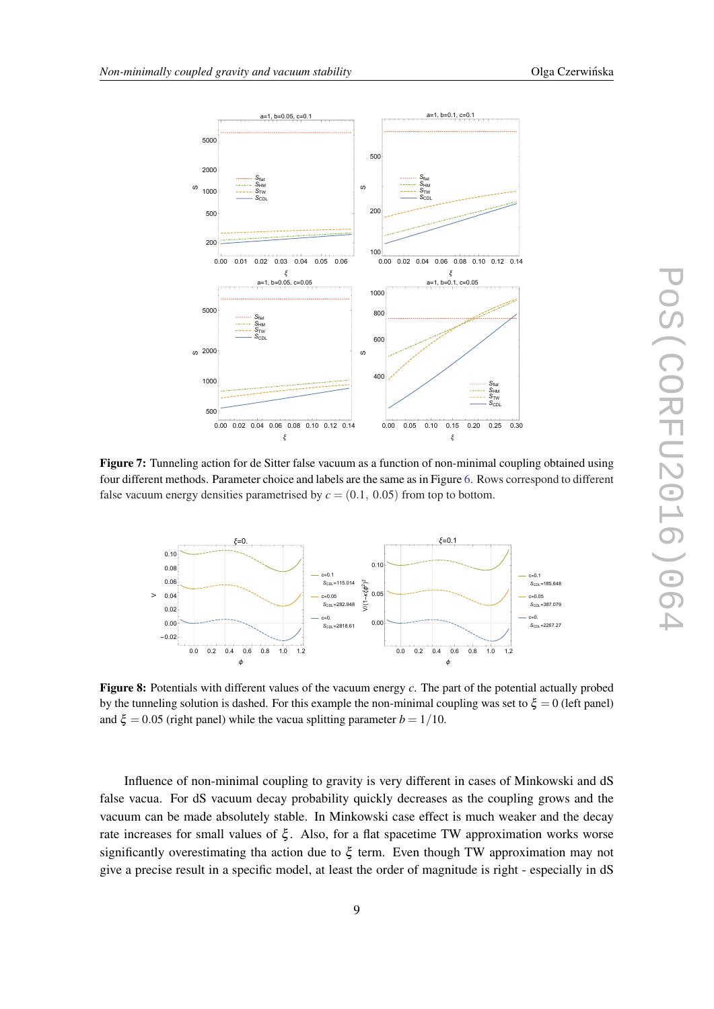<span id="page-9-0"></span>

Figure 7: Tunneling action for de Sitter false vacuum as a function of non-minimal coupling obtained using four different methods. Parameter choice and labels are the same as in Figure [6](#page-8-0). Rows correspond to different false vacuum energy densities parametrised by  $c = (0.1, 0.05)$  from top to bottom.



Figure 8: Potentials with different values of the vacuum energy *c*. The part of the potential actually probed by the tunneling solution is dashed. For this example the non-minimal coupling was set to  $\xi = 0$  (left panel) and  $\xi = 0.05$  (right panel) while the vacua splitting parameter  $b = 1/10$ .

Influence of non-minimal coupling to gravity is very different in cases of Minkowski and dS false vacua. For dS vacuum decay probability quickly decreases as the coupling grows and the vacuum can be made absolutely stable. In Minkowski case effect is much weaker and the decay rate increases for small values of  $\xi$ . Also, for a flat spacetime TW approximation works worse significantly overestimating tha action due to  $\xi$  term. Even though TW approximation may not give a precise result in a specific model, at least the order of magnitude is right - especially in dS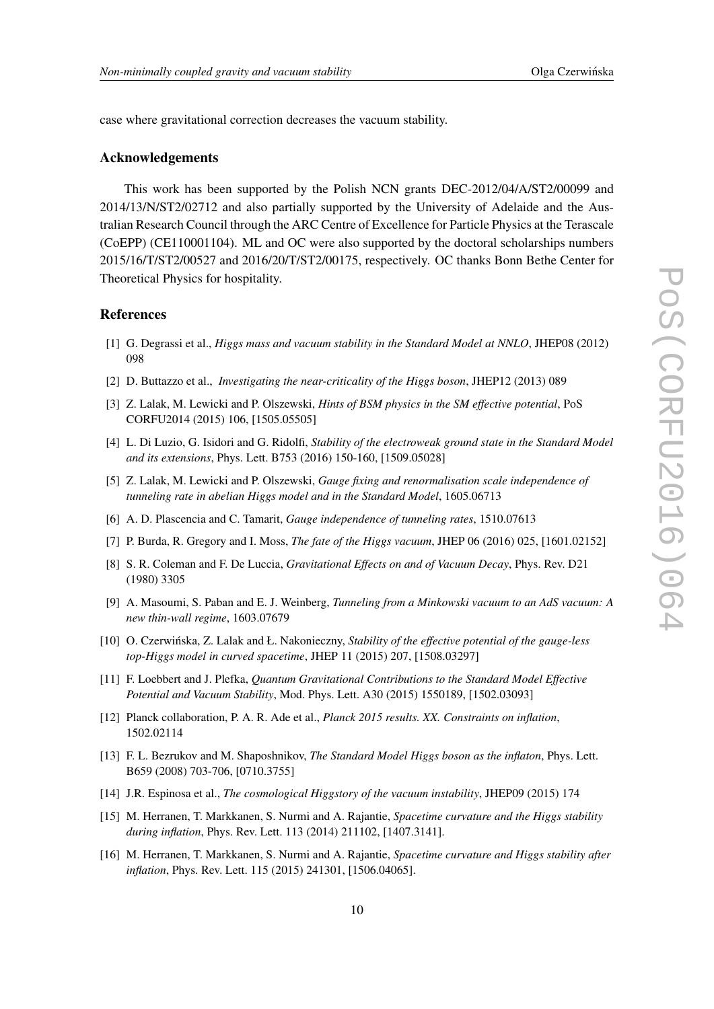case where gravitational correction decreases the vacuum stability.

#### Acknowledgements

This work has been supported by the Polish NCN grants DEC-2012/04/A/ST2/00099 and 2014/13/N/ST2/02712 and also partially supported by the University of Adelaide and the Australian Research Council through the ARC Centre of Excellence for Particle Physics at the Terascale (CoEPP) (CE110001104). ML and OC were also supported by the doctoral scholarships numbers 2015/16/T/ST2/00527 and 2016/20/T/ST2/00175, respectively. OC thanks Bonn Bethe Center for Theoretical Physics for hospitality.

## References

- [1] G. Degrassi et al., *Higgs mass and vacuum stability in the Standard Model at NNLO*, JHEP08 (2012) 098
- [2] D. Buttazzo et al., *Investigating the near-criticality of the Higgs boson*, JHEP12 (2013) 089
- [3] Z. Lalak, M. Lewicki and P. Olszewski, *Hints of BSM physics in the SM effective potential*, PoS CORFU2014 (2015) 106, [1505.05505]
- [4] L. Di Luzio, G. Isidori and G. Ridolfi, *Stability of the electroweak ground state in the Standard Model and its extensions*, Phys. Lett. B753 (2016) 150-160, [1509.05028]
- [5] Z. Lalak, M. Lewicki and P. Olszewski, *Gauge fixing and renormalisation scale independence of tunneling rate in abelian Higgs model and in the Standard Model*, 1605.06713
- [6] A. D. Plascencia and C. Tamarit, *Gauge independence of tunneling rates*, 1510.07613
- [7] P. Burda, R. Gregory and I. Moss, *The fate of the Higgs vacuum*, JHEP 06 (2016) 025, [1601.02152]
- [8] S. R. Coleman and F. De Luccia, *Gravitational Effects on and of Vacuum Decay*, Phys. Rev. D21 (1980) 3305
- [9] A. Masoumi, S. Paban and E. J. Weinberg, *Tunneling from a Minkowski vacuum to an AdS vacuum: A new thin-wall regime*, 1603.07679
- [10] O. Czerwińska, Z. Lalak and Ł. Nakonieczny, *Stability of the effective potential of the gauge-less top-Higgs model in curved spacetime*, JHEP 11 (2015) 207, [1508.03297]
- [11] F. Loebbert and J. Plefka, *Quantum Gravitational Contributions to the Standard Model Effective Potential and Vacuum Stability*, Mod. Phys. Lett. A30 (2015) 1550189, [1502.03093]
- [12] Planck collaboration, P. A. R. Ade et al., *Planck 2015 results. XX. Constraints on inflation*, 1502.02114
- [13] F. L. Bezrukov and M. Shaposhnikov, *The Standard Model Higgs boson as the inflaton*, Phys. Lett. B659 (2008) 703-706, [0710.3755]
- [14] J.R. Espinosa et al., *The cosmological Higgstory of the vacuum instability*, JHEP09 (2015) 174
- [15] M. Herranen, T. Markkanen, S. Nurmi and A. Rajantie, *Spacetime curvature and the Higgs stability during inflation*, Phys. Rev. Lett. 113 (2014) 211102, [1407.3141].
- [16] M. Herranen, T. Markkanen, S. Nurmi and A. Rajantie, *Spacetime curvature and Higgs stability after inflation*, Phys. Rev. Lett. 115 (2015) 241301, [1506.04065].